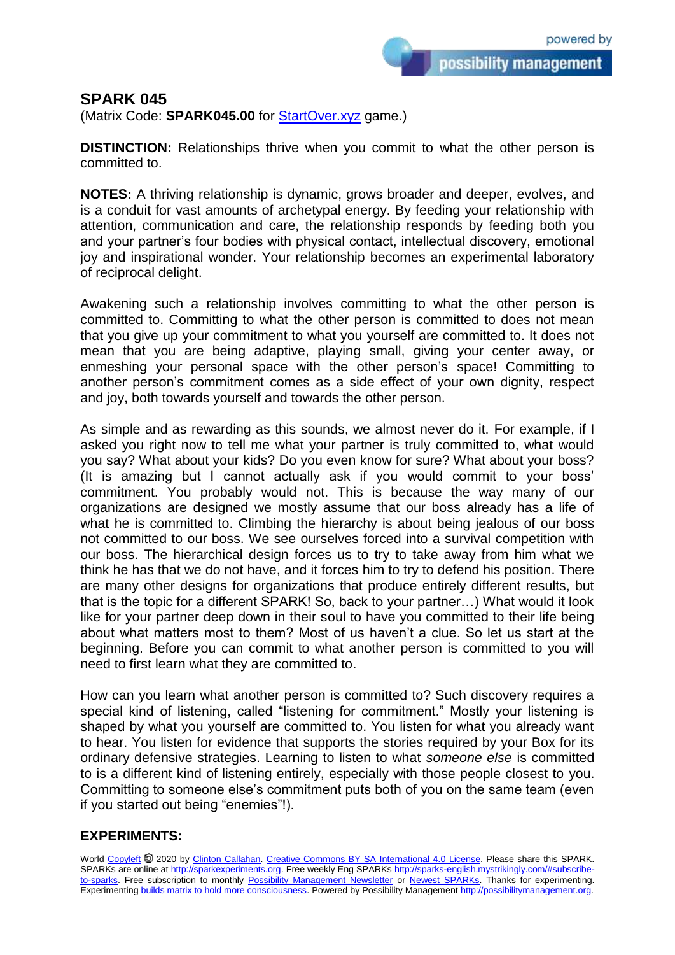possibility management

## **SPARK 045**

(Matrix Code: **SPARK045.00** for [StartOver.xyz](https://startoverxyz.mystrikingly.com/) game.)

**DISTINCTION:** Relationships thrive when you commit to what the other person is committed to.

**NOTES:** A thriving relationship is dynamic, grows broader and deeper, evolves, and is a conduit for vast amounts of archetypal energy. By feeding your relationship with attention, communication and care, the relationship responds by feeding both you and your partner's four bodies with physical contact, intellectual discovery, emotional joy and inspirational wonder. Your relationship becomes an experimental laboratory of reciprocal delight.

Awakening such a relationship involves committing to what the other person is committed to. Committing to what the other person is committed to does not mean that you give up your commitment to what you yourself are committed to. It does not mean that you are being adaptive, playing small, giving your center away, or enmeshing your personal space with the other person's space! Committing to another person's commitment comes as a side effect of your own dignity, respect and joy, both towards yourself and towards the other person.

As simple and as rewarding as this sounds, we almost never do it. For example, if I asked you right now to tell me what your partner is truly committed to, what would you say? What about your kids? Do you even know for sure? What about your boss? (It is amazing but I cannot actually ask if you would commit to your boss' commitment. You probably would not. This is because the way many of our organizations are designed we mostly assume that our boss already has a life of what he is committed to. Climbing the hierarchy is about being jealous of our boss not committed to our boss. We see ourselves forced into a survival competition with our boss. The hierarchical design forces us to try to take away from him what we think he has that we do not have, and it forces him to try to defend his position. There are many other designs for organizations that produce entirely different results, but that is the topic for a different SPARK! So, back to your partner…) What would it look like for your partner deep down in their soul to have you committed to their life being about what matters most to them? Most of us haven't a clue. So let us start at the beginning. Before you can commit to what another person is committed to you will need to first learn what they are committed to.

How can you learn what another person is committed to? Such discovery requires a special kind of listening, called "listening for commitment." Mostly your listening is shaped by what you yourself are committed to. You listen for what you already want to hear. You listen for evidence that supports the stories required by your Box for its ordinary defensive strategies. Learning to listen to what *someone else* is committed to is a different kind of listening entirely, especially with those people closest to you. Committing to someone else's commitment puts both of you on the same team (even if you started out being "enemies"!).

## **EXPERIMENTS:**

World [Copyleft](https://en.wikipedia.org/wiki/Copyleft) @ 2020 by [Clinton Callahan.](http://clintoncallahan.mystrikingly.com/) [Creative Commons BY SA International 4.0 License.](https://creativecommons.org/licenses/by-sa/4.0/) Please share this SPARK. SPARKs are online at [http://sparkexperiments.org.](http://sparks-english.mystrikingly.com/) Free weekly Eng SPARKs [http://sparks-english.mystrikingly.com/#subscribe](http://sparks-english.mystrikingly.com/#subscribe-to-sparks)[to-sparks.](http://sparks-english.mystrikingly.com/#subscribe-to-sparks) Free subscription to monthly [Possibility Management Newsletter](https://possibilitymanagement.org/news/) or [Newest SPARKs.](https://www.clintoncallahan.org/newsletter-1) Thanks for experimenting. Experimentin[g builds matrix to hold more consciousness.](http://spaceport.mystrikingly.com/) Powered by Possibility Managemen[t http://possibilitymanagement.org.](http://possibilitymanagement.org/)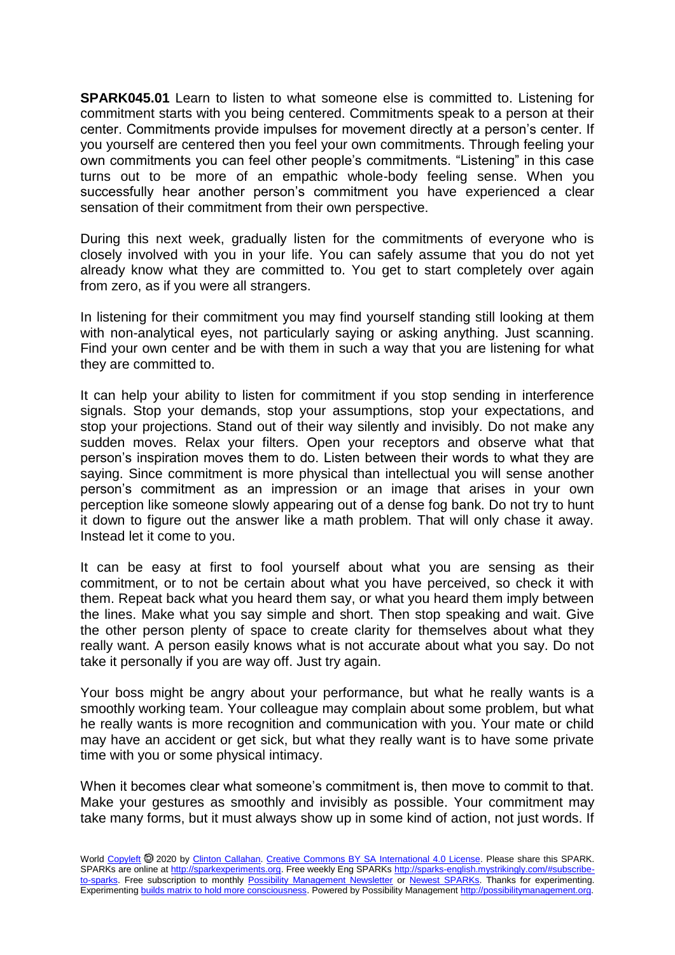**SPARK045.01** Learn to listen to what someone else is committed to. Listening for commitment starts with you being centered. Commitments speak to a person at their center. Commitments provide impulses for movement directly at a person's center. If you yourself are centered then you feel your own commitments. Through feeling your own commitments you can feel other people's commitments. "Listening" in this case turns out to be more of an empathic whole-body feeling sense. When you successfully hear another person's commitment you have experienced a clear sensation of their commitment from their own perspective.

During this next week, gradually listen for the commitments of everyone who is closely involved with you in your life. You can safely assume that you do not yet already know what they are committed to. You get to start completely over again from zero, as if you were all strangers.

In listening for their commitment you may find yourself standing still looking at them with non-analytical eyes, not particularly saying or asking anything. Just scanning. Find your own center and be with them in such a way that you are listening for what they are committed to.

It can help your ability to listen for commitment if you stop sending in interference signals. Stop your demands, stop your assumptions, stop your expectations, and stop your projections. Stand out of their way silently and invisibly. Do not make any sudden moves. Relax your filters. Open your receptors and observe what that person's inspiration moves them to do. Listen between their words to what they are saying. Since commitment is more physical than intellectual you will sense another person's commitment as an impression or an image that arises in your own perception like someone slowly appearing out of a dense fog bank. Do not try to hunt it down to figure out the answer like a math problem. That will only chase it away. Instead let it come to you.

It can be easy at first to fool yourself about what you are sensing as their commitment, or to not be certain about what you have perceived, so check it with them. Repeat back what you heard them say, or what you heard them imply between the lines. Make what you say simple and short. Then stop speaking and wait. Give the other person plenty of space to create clarity for themselves about what they really want. A person easily knows what is not accurate about what you say. Do not take it personally if you are way off. Just try again.

Your boss might be angry about your performance, but what he really wants is a smoothly working team. Your colleague may complain about some problem, but what he really wants is more recognition and communication with you. Your mate or child may have an accident or get sick, but what they really want is to have some private time with you or some physical intimacy.

When it becomes clear what someone's commitment is, then move to commit to that. Make your gestures as smoothly and invisibly as possible. Your commitment may take many forms, but it must always show up in some kind of action, not just words. If